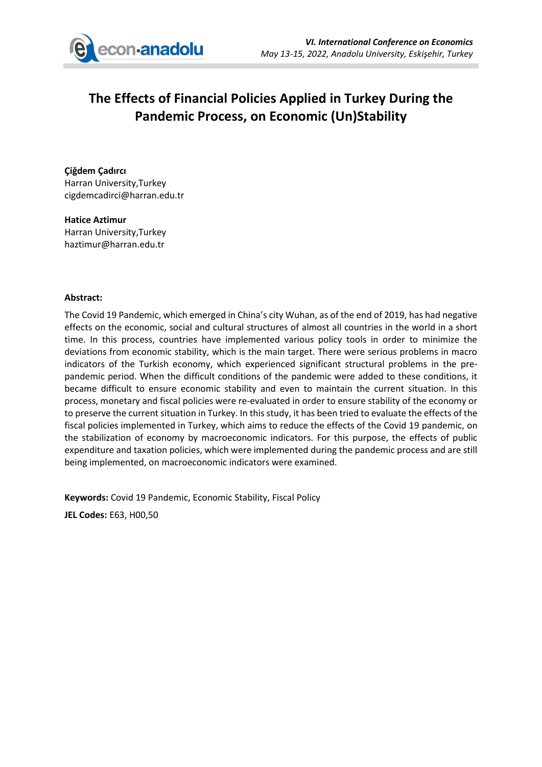

## **The Effects of Financial Policies Applied in Turkey During the Pandemic Process, on Economic (Un)Stability**

**Çiğdem Çadırcı** Harran University,Turkey cigdemcadirci@harran.edu.tr

**Hatice Aztimur** Harran University,Turkey haztimur@harran.edu.tr

## **Abstract:**

The Covid 19 Pandemic, which emerged in China's city Wuhan, as of the end of 2019, has had negative effects on the economic, social and cultural structures of almost all countries in the world in a short time. In this process, countries have implemented various policy tools in order to minimize the deviations from economic stability, which is the main target. There were serious problems in macro indicators of the Turkish economy, which experienced significant structural problems in the prepandemic period. When the difficult conditions of the pandemic were added to these conditions, it became difficult to ensure economic stability and even to maintain the current situation. In this process, monetary and fiscal policies were re-evaluated in order to ensure stability of the economy or to preserve the current situation in Turkey. In this study, it has been tried to evaluate the effects of the fiscal policies implemented in Turkey, which aims to reduce the effects of the Covid 19 pandemic, on the stabilization of economy by macroeconomic indicators. For this purpose, the effects of public expenditure and taxation policies, which were implemented during the pandemic process and are still being implemented, on macroeconomic indicators were examined.

**Keywords:** Covid 19 Pandemic, Economic Stability, Fiscal Policy

**JEL Codes:** E63, H00,50